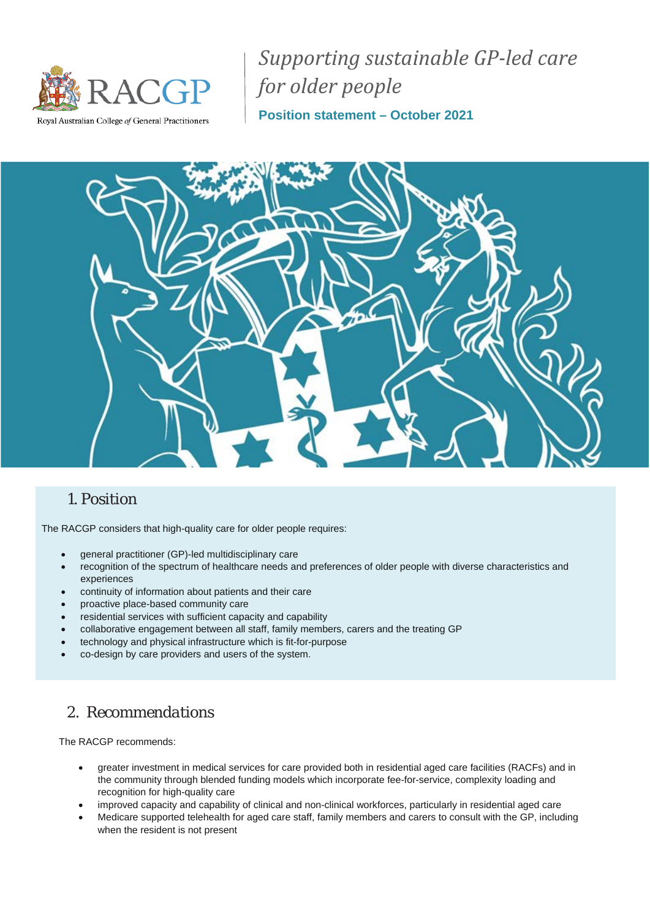

*Supporting sustainable GP-led care for older people*

Royal Australian College of General Practitioners

**Position statement – October 2021**



## *1. Position*

The RACGP considers that high-quality care for older people requires:

- general practitioner (GP)-led multidisciplinary care
- recognition of the spectrum of healthcare needs and preferences of older people with diverse characteristics and experiences
- continuity of information about patients and their care
- proactive place-based community care
- residential services with sufficient capacity and capability
- collaborative engagement between all staff, family members, carers and the treating GP
- technology and physical infrastructure which is fit-for-purpose
- co-design by care providers and users of the system.

# *2. Recommendations*

The RACGP recommends:

- greater investment in medical services for care provided both in residential aged care facilities (RACFs) and in the community through blended funding models which incorporate fee-for-service, complexity loading and recognition for high-quality care
- improved capacity and capability of clinical and non-clinical workforces, particularly in residential aged care
- Medicare supported telehealth for aged care staff, family members and carers to consult with the GP, including when the resident is not present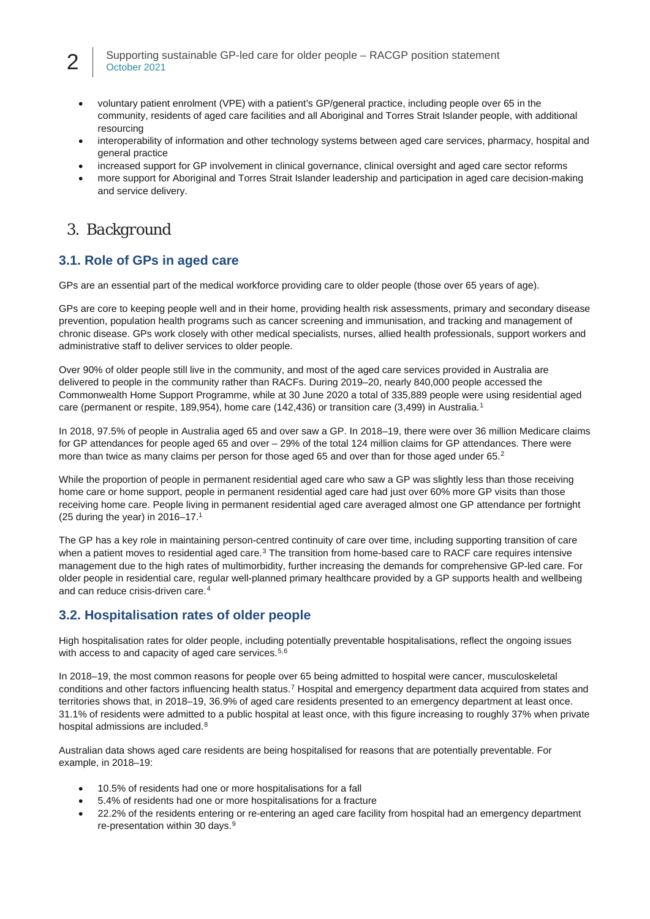#### 2 Supporting sustainable GP-led care for older people – RACGP position statement October 2021

- voluntary patient enrolment (VPE) with a patient's GP/general practice, including people over 65 in the community, residents of aged care facilities and all Aboriginal and Torres Strait Islander people, with additional resourcing
- interoperability of information and other technology systems between aged care services, pharmacy, hospital and general practice
- increased support for GP involvement in clinical governance, clinical oversight and aged care sector reforms
- more support for Aboriginal and Torres Strait Islander leadership and participation in aged care decision-making and service delivery.

# *3. Background*

## **3.1. Role of GPs in aged care**

GPs are an essential part of the medical workforce providing care to older people (those over 65 years of age).

GPs are core to keeping people well and in their home, providing health risk assessments, primary and secondary disease prevention, population health programs such as cancer screening and immunisation, and tracking and management of chronic disease. GPs work closely with other medical specialists, nurses, allied health professionals, support workers and administrative staff to deliver services to older people.

Over 90% of older people still live in the community, and most of the aged care services provided in Australia are delivered to people in the community rather than RACFs. During 2019–20, nearly 840,000 people accessed the Commonwealth Home Support Programme, while at 30 June 2020 a total of 335,889 people were using residential aged care (permanent or respite, 189,954), home care (142,436) or transition care (3,499) in Australia. [1](#page-6-0)

In 2018, 97.5% of people in Australia aged 65 and over saw a GP. In 2018–19, there were over 36 million Medicare claims for GP attendances for people aged 65 and over – 29% of the total 124 million claims for GP attendances. There were more than twice as many claims per person for those aged 65 and over than for those aged under 65.<sup>[2](#page-6-1)</sup>

While the proportion of people in permanent residential aged care who saw a GP was slightly less than those receiving home care or home support, people in permanent residential aged care had just over 60% more GP visits than those receiving home care. People living in permanent residential aged care averaged almost one GP attendance per fortnight (25 during the year) in 2016–17.<sup>1</sup>

The GP has a key role in maintaining person-centred continuity of care over time, including supporting transition of care when a patient moves to residential aged care.<sup>[3](#page-6-2)</sup> The transition from home-based care to RACF care requires intensive management due to the high rates of multimorbidity, further increasing the demands for comprehensive GP-led care. For older people in residential care, regular well-planned primary healthcare provided by a GP supports health and wellbeing and can reduce crisis-driven care.[4](#page-6-3)

## **3.2. Hospitalisation rates of older people**

High hospitalisation rates for older people, including potentially preventable hospitalisations, reflect the ongoing issues with access to and capacity of aged care services.<sup>[5](#page-6-4),[6](#page-6-5)</sup>

In 2018–19, the most common reasons for people over 65 being admitted to hospital were cancer, musculoskeletal conditions and other factors influencing health status.[7](#page-6-6) Hospital and emergency department data acquired from states and territories shows that, in 2018–19, 36.9% of aged care residents presented to an emergency department at least once. 31.1% of residents were admitted to a public hospital at least once, with this figure increasing to roughly 37% when private hospital admissions are included.[8](#page-6-7)

Australian data shows aged care residents are being hospitalised for reasons that are potentially preventable. For example, in 2018–19:

- 10.5% of residents had one or more hospitalisations for a fall
- 5.4% of residents had one or more hospitalisations for a fracture
- 22.2% of the residents entering or re-entering an aged care facility from hospital had an emergency department re-presentation within 30 days.<sup>[9](#page-6-8)</sup>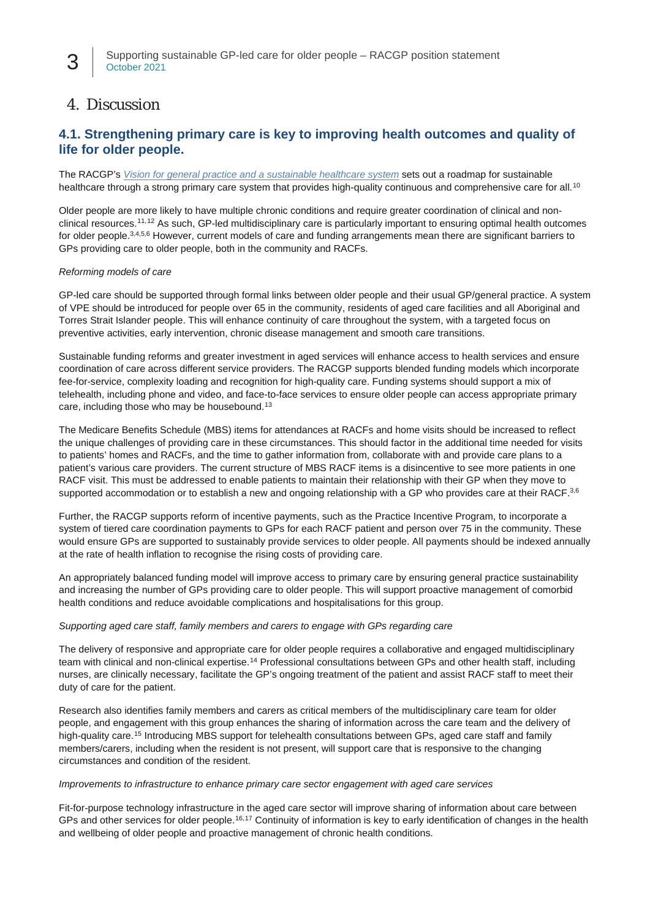# *4. Discussion*

## **4.1. Strengthening primary care is key to improving health outcomes and quality of life for older people.**

The RACGP's *[Vision for general practice and a sustainable healthcare system](https://www.racgp.org.au/advocacy/advocacy-resources/the-vision-for-general-practice/the-vision)* sets out a roadmap for sustainable healthcare through a strong primary care system that provides high-quality continuous and comprehensive care for all.<sup>[10](#page-6-9)</sup>

Older people are more likely to have multiple chronic conditions and require greater coordination of clinical and nonclinical resources.[11,](#page-6-10)[12](#page-6-11) As such, GP-led multidisciplinary care is particularly important to ensuring optimal health outcomes for older people.3,4,5,6 However, current models of care and funding arrangements mean there are significant barriers to GPs providing care to older people, both in the community and RACFs.

#### *Reforming models of care*

GP-led care should be supported through formal links between older people and their usual GP/general practice. A system of VPE should be introduced for people over 65 in the community, residents of aged care facilities and all Aboriginal and Torres Strait Islander people. This will enhance continuity of care throughout the system, with a targeted focus on preventive activities, early intervention, chronic disease management and smooth care transitions.

Sustainable funding reforms and greater investment in aged services will enhance access to health services and ensure coordination of care across different service providers. The RACGP supports blended funding models which incorporate fee-for-service, complexity loading and recognition for high-quality care. Funding systems should support a mix of telehealth, including phone and video, and face-to-face services to ensure older people can access appropriate primary care, including those who may be housebound.<sup>[13](#page-6-12)</sup>

The Medicare Benefits Schedule (MBS) items for attendances at RACFs and home visits should be increased to reflect the unique challenges of providing care in these circumstances. This should factor in the additional time needed for visits to patients' homes and RACFs, and the time to gather information from, collaborate with and provide care plans to a patient's various care providers. The current structure of MBS RACF items is a disincentive to see more patients in one RACF visit. This must be addressed to enable patients to maintain their relationship with their GP when they move to supported accommodation or to establish a new and ongoing relationship with a GP who provides care at their RACF.<sup>3,6</sup>

Further, the RACGP supports reform of incentive payments, such as the Practice Incentive Program, to incorporate a system of tiered care coordination payments to GPs for each RACF patient and person over 75 in the community. These would ensure GPs are supported to sustainably provide services to older people. All payments should be indexed annually at the rate of health inflation to recognise the rising costs of providing care.

An appropriately balanced funding model will improve access to primary care by ensuring general practice sustainability and increasing the number of GPs providing care to older people. This will support proactive management of comorbid health conditions and reduce avoidable complications and hospitalisations for this group.

#### *Supporting aged care staff, family members and carers to engage with GPs regarding care*

The delivery of responsive and appropriate care for older people requires a collaborative and engaged multidisciplinary team with clinical and non-clinical expertise.[14](#page-6-13) Professional consultations between GPs and other health staff, including nurses, are clinically necessary, facilitate the GP's ongoing treatment of the patient and assist RACF staff to meet their duty of care for the patient.

Research also identifies family members and carers as critical members of the multidisciplinary care team for older people, and engagement with this group enhances the sharing of information across the care team and the delivery of high-quality care.<sup>[15](#page-6-14)</sup> Introducing MBS support for telehealth consultations between GPs, aged care staff and family members/carers, including when the resident is not present, will support care that is responsive to the changing circumstances and condition of the resident.

#### *Improvements to infrastructure to enhance primary care sector engagement with aged care services*

Fit-for-purpose technology infrastructure in the aged care sector will improve sharing of information about care between GPs and other services for older people.<sup>[16](#page-6-15),[17](#page-6-16)</sup> Continuity of information is key to early identification of changes in the health and wellbeing of older people and proactive management of chronic health conditions.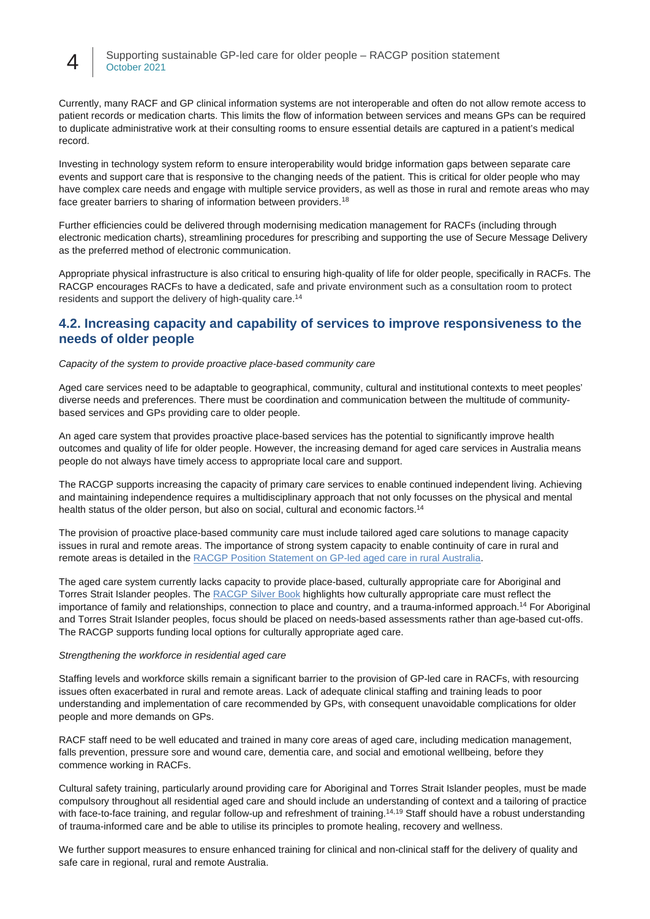4 Supporting sustainable GP-led care for older people – RACGP position statement October 2021

Currently, many RACF and GP clinical information systems are not interoperable and often do not allow remote access to patient records or medication charts. This limits the flow of information between services and means GPs can be required to duplicate administrative work at their consulting rooms to ensure essential details are captured in a patient's medical record.

Investing in technology system reform to ensure interoperability would bridge information gaps between separate care events and support care that is responsive to the changing needs of the patient. This is critical for older people who may have complex care needs and engage with multiple service providers, as well as those in rural and remote areas who may face greater barriers to sharing of information between providers.[18](#page-6-17)

Further efficiencies could be delivered through modernising medication management for RACFs (including through electronic medication charts), streamlining procedures for prescribing and supporting the use of Secure Message Delivery as the preferred method of electronic communication.

Appropriate physical infrastructure is also critical to ensuring high-quality of life for older people, specifically in RACFs. The RACGP encourages RACFs to have a dedicated, safe and private environment such as a consultation room to protect residents and support the delivery of high-quality care.14

### **4.2. Increasing capacity and capability of services to improve responsiveness to the needs of older people**

*Capacity of the system to provide proactive place-based community care*

Aged care services need to be adaptable to geographical, community, cultural and institutional contexts to meet peoples' diverse needs and preferences. There must be coordination and communication between the multitude of communitybased services and GPs providing care to older people.

An aged care system that provides proactive place-based services has the potential to significantly improve health outcomes and quality of life for older people. However, the increasing demand for aged care services in Australia means people do not always have timely access to appropriate local care and support.

The RACGP supports increasing the capacity of primary care services to enable continued independent living. Achieving and maintaining independence requires a multidisciplinary approach that not only focusses on the physical and mental health status of the older person, but also on social, cultural and economic factors.<sup>14</sup>

The provision of proactive place-based community care must include tailored aged care solutions to manage capacity issues in rural and remote areas. The importance of strong system capacity to enable continuity of care in rural and remote areas is detailed in the [RACGP Position Statement on GP-led aged care in rural Australia.](https://www.racgp.org.au/FSDEDEV/media/documents/RACGP/Position%20statements/GP-led-aged-care-in-rural-Australia.PDF)

The aged care system currently lacks capacity to provide place-based, culturally appropriate care for Aboriginal and Torres Strait Islander peoples. The [RACGP Silver Book](https://www.racgp.org.au/clinical-resources/clinical-guidelines/key-racgp-guidelines/view-all-racgp-guidelines/silver-book/silver-book-part-b/older-aboriginal-and-torres-strait-islander-people) highlights how culturally appropriate care must reflect the importance of family and relationships, connection to place and country, and a trauma-informed approach.<sup>14</sup> For Aboriginal and Torres Strait Islander peoples, focus should be placed on needs-based assessments rather than age-based cut-offs. The RACGP supports funding local options for culturally appropriate aged care.

#### *Strengthening the workforce in residential aged care*

Staffing levels and workforce skills remain a significant barrier to the provision of GP-led care in RACFs, with resourcing issues often exacerbated in rural and remote areas. Lack of adequate clinical staffing and training leads to poor understanding and implementation of care recommended by GPs, with consequent unavoidable complications for older people and more demands on GPs.

RACF staff need to be well educated and trained in many core areas of aged care, including medication management, falls prevention, pressure sore and wound care, dementia care, and social and emotional wellbeing, before they commence working in RACFs.

Cultural safety training, particularly around providing care for Aboriginal and Torres Strait Islander peoples, must be made compulsory throughout all residential aged care and should include an understanding of context and a tailoring of practice with face-to-face training, and regular follow-up and refreshment of training.<sup>14,[19](#page-6-18)</sup> Staff should have a robust understanding of trauma-informed care and be able to utilise its principles to promote healing, recovery and wellness.

We further support measures to ensure enhanced training for clinical and non-clinical staff for the delivery of quality and safe care in regional, rural and remote Australia.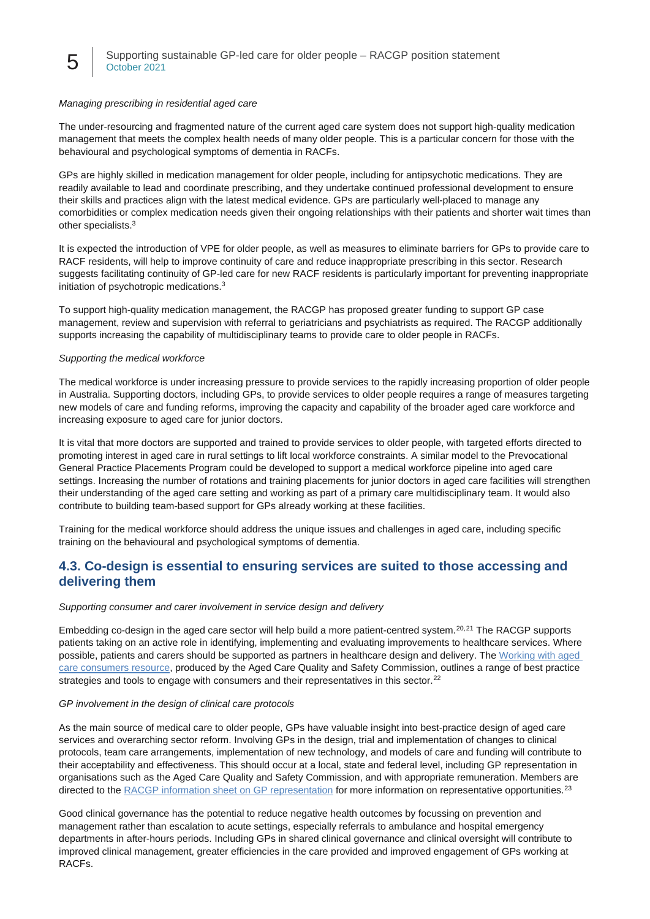#### *Managing prescribing in residential aged care*

The under-resourcing and fragmented nature of the current aged care system does not support high-quality medication management that meets the complex health needs of many older people. This is a particular concern for those with the behavioural and psychological symptoms of dementia in RACFs.

GPs are highly skilled in medication management for older people, including for antipsychotic medications. They are readily available to lead and coordinate prescribing, and they undertake continued professional development to ensure their skills and practices align with the latest medical evidence. GPs are particularly well-placed to manage any comorbidities or complex medication needs given their ongoing relationships with their patients and shorter wait times than other specialists.3

It is expected the introduction of VPE for older people, as well as measures to eliminate barriers for GPs to provide care to RACF residents, will help to improve continuity of care and reduce inappropriate prescribing in this sector. Research suggests facilitating continuity of GP-led care for new RACF residents is particularly important for preventing inappropriate initiation of psychotropic medications.3

To support high-quality medication management, the RACGP has proposed greater funding to support GP case management, review and supervision with referral to geriatricians and psychiatrists as required. The RACGP additionally supports increasing the capability of multidisciplinary teams to provide care to older people in RACFs.

#### *Supporting the medical workforce*

The medical workforce is under increasing pressure to provide services to the rapidly increasing proportion of older people in Australia. Supporting doctors, including GPs, to provide services to older people requires a range of measures targeting new models of care and funding reforms, improving the capacity and capability of the broader aged care workforce and increasing exposure to aged care for junior doctors.

It is vital that more doctors are supported and trained to provide services to older people, with targeted efforts directed to promoting interest in aged care in rural settings to lift local workforce constraints. A similar model to the Prevocational General Practice Placements Program could be developed to support a medical workforce pipeline into aged care settings. Increasing the number of rotations and training placements for junior doctors in aged care facilities will strengthen their understanding of the aged care setting and working as part of a primary care multidisciplinary team. It would also contribute to building team-based support for GPs already working at these facilities.

Training for the medical workforce should address the unique issues and challenges in aged care, including specific training on the behavioural and psychological symptoms of dementia.

## **4.3. Co-design is essential to ensuring services are suited to those accessing and delivering them**

#### *Supporting consumer and carer involvement in service design and delivery*

Embedding co-design in the aged care sector will help build a more patient-centred system.<sup>[20,](#page-6-19)[21](#page-6-20)</sup> The RACGP supports patients taking on an active role in identifying, implementing and evaluating improvements to healthcare services. Where possible, patients and carers should be supported as partners in healthcare design and delivery. The [Working with aged](https://www.agedcarequality.gov.au/resources/working-aged-care-consumers-resource)  [care consumers resource,](https://www.agedcarequality.gov.au/resources/working-aged-care-consumers-resource) produced by the Aged Care Quality and Safety Commission, outlines a range of best practice strategies and tools to engage with consumers and their representatives in this sector.<sup>[22](#page-7-0)</sup>

#### *GP involvement in the design of clinical care protocols*

As the main source of medical care to older people, GPs have valuable insight into best-practice design of aged care services and overarching sector reform. Involving GPs in the design, trial and implementation of changes to clinical protocols, team care arrangements, implementation of new technology, and models of care and funding will contribute to their acceptability and effectiveness. This should occur at a local, state and federal level, including GP representation in organisations such as the Aged Care Quality and Safety Commission, and with appropriate remuneration. Members are directed to th[e RACGP information sheet on GP representation](https://www.racgp.org.au/advocacy/advocacy-resources/gp-representation-information-for-members) for more information on representative opportunities.<sup>[23](#page-7-1)</sup>

Good clinical governance has the potential to reduce negative health outcomes by focussing on prevention and management rather than escalation to acute settings, especially referrals to ambulance and hospital emergency departments in after-hours periods. Including GPs in shared clinical governance and clinical oversight will contribute to improved clinical management, greater efficiencies in the care provided and improved engagement of GPs working at RACFs.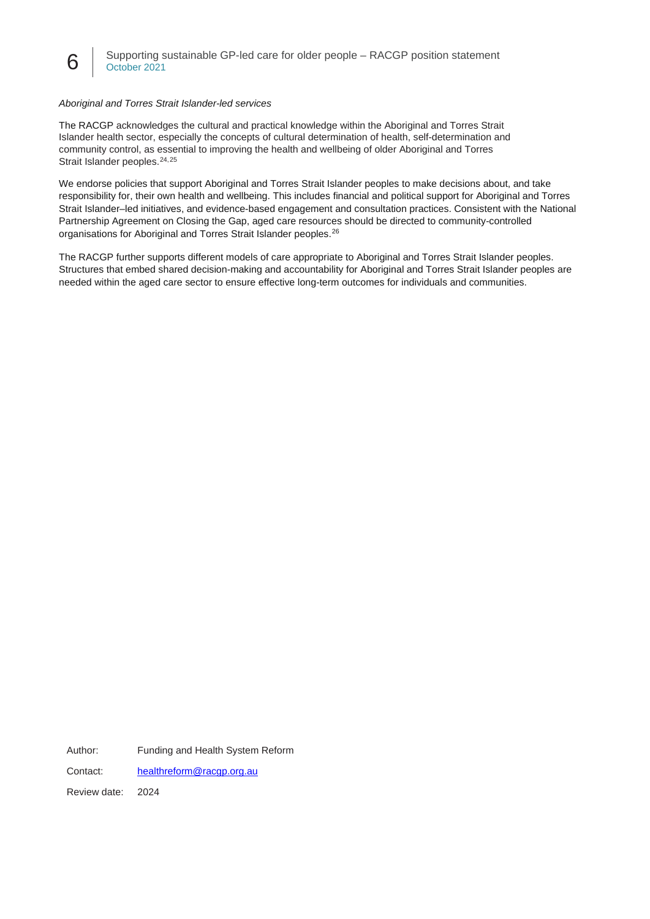#### *Aboriginal and Torres Strait Islander-led services*

The RACGP acknowledges the cultural and practical knowledge within the Aboriginal and Torres Strait Islander health sector, especially the concepts of cultural determination of health, self-determination and community control, as essential to improving the health and wellbeing of older Aboriginal and Torres Strait Islander peoples.<sup>[24](#page-7-2),[25](#page-7-3)</sup>

We endorse policies that support Aboriginal and Torres Strait Islander peoples to make decisions about, and take responsibility for, their own health and wellbeing. This includes financial and political support for Aboriginal and Torres Strait Islander–led initiatives, and evidence-based engagement and consultation practices. Consistent with the National Partnership Agreement on Closing the Gap, aged care resources should be directed to community-controlled organisations for Aboriginal and Torres Strait Islander peoples. [26](#page-7-4)

The RACGP further supports different models of care appropriate to Aboriginal and Torres Strait Islander peoples. Structures that embed shared decision-making and accountability for Aboriginal and Torres Strait Islander peoples are needed within the aged care sector to ensure effective long-term outcomes for individuals and communities.

Author: Funding and Health System Reform

Contact: [healthreform@racgp.org.au](mailto:healthreform@racgp.org.au)

Review date: 2024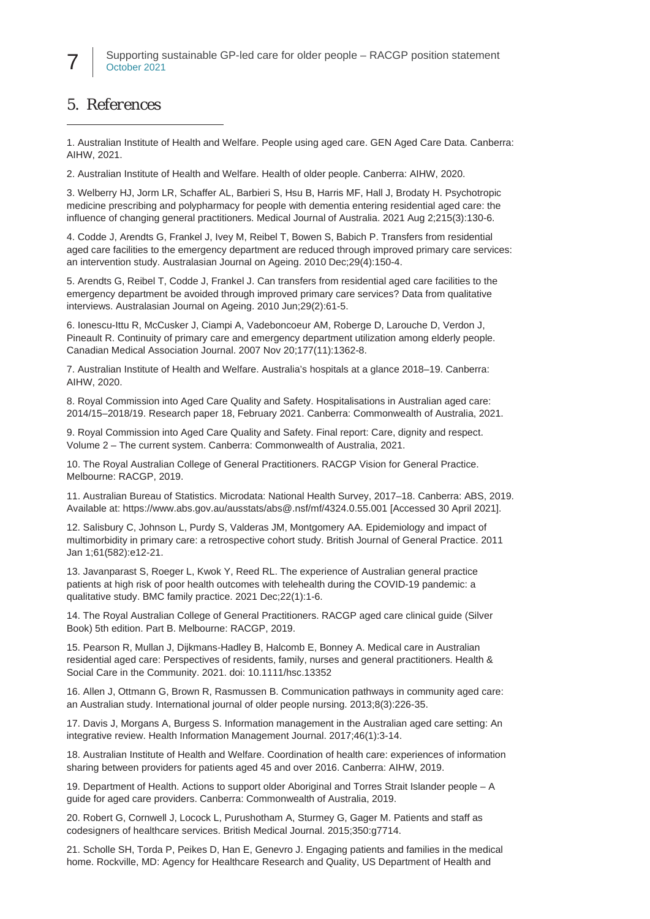# *5. References*

<span id="page-6-0"></span>1. Australian Institute of Health and Welfare. People using aged care. GEN Aged Care Data. Canberra: AIHW, 2021.

<span id="page-6-1"></span>2. Australian Institute of Health and Welfare. Health of older people. Canberra: AIHW, 2020.

<span id="page-6-2"></span>3. Welberry HJ, Jorm LR, Schaffer AL, Barbieri S, Hsu B, Harris MF, Hall J, Brodaty H. Psychotropic medicine prescribing and polypharmacy for people with dementia entering residential aged care: the influence of changing general practitioners. Medical Journal of Australia. 2021 Aug 2;215(3):130-6.

<span id="page-6-3"></span>4. Codde J, Arendts G, Frankel J, Ivey M, Reibel T, Bowen S, Babich P. Transfers from residential aged care facilities to the emergency department are reduced through improved primary care services: an intervention study. Australasian Journal on Ageing. 2010 Dec;29(4):150-4.

<span id="page-6-4"></span>5. Arendts G, Reibel T, Codde J, Frankel J. Can transfers from residential aged care facilities to the emergency department be avoided through improved primary care services? Data from qualitative interviews. Australasian Journal on Ageing. 2010 Jun;29(2):61-5.

<span id="page-6-5"></span>6. Ionescu-Ittu R, McCusker J, Ciampi A, Vadeboncoeur AM, Roberge D, Larouche D, Verdon J, Pineault R. Continuity of primary care and emergency department utilization among elderly people. Canadian Medical Association Journal. 2007 Nov 20;177(11):1362-8.

<span id="page-6-6"></span>7. Australian Institute of Health and Welfare. Australia's hospitals at a glance 2018–19. Canberra: AIHW, 2020.

<span id="page-6-7"></span>8. Royal Commission into Aged Care Quality and Safety. Hospitalisations in Australian aged care: 2014/15–2018/19. Research paper 18, February 2021. Canberra: Commonwealth of Australia, 2021.

<span id="page-6-8"></span>9. Royal Commission into Aged Care Quality and Safety. Final report: Care, dignity and respect. Volume 2 – The current system. Canberra: Commonwealth of Australia, 2021.

<span id="page-6-9"></span>10. The Royal Australian College of General Practitioners. RACGP Vision for General Practice. Melbourne: RACGP, 2019.

<span id="page-6-10"></span>11. Australian Bureau of Statistics. Microdata: National Health Survey, 2017–18. Canberra: ABS, 2019. Available at[: https://www.abs.gov.au/ausstats/abs@.nsf/mf/4324.0.55.001](https://www.abs.gov.au/ausstats/abs@.nsf/mf/4324.0.55.001) [Accessed 30 April 2021].

<span id="page-6-11"></span>12. Salisbury C, Johnson L, Purdy S, Valderas JM, Montgomery AA. Epidemiology and impact of multimorbidity in primary care: a retrospective cohort study. British Journal of General Practice. 2011 Jan 1;61(582):e12-21.

<span id="page-6-12"></span>13. Javanparast S, Roeger L, Kwok Y, Reed RL. The experience of Australian general practice patients at high risk of poor health outcomes with telehealth during the COVID-19 pandemic: a qualitative study. BMC family practice. 2021 Dec;22(1):1-6.

<span id="page-6-13"></span>14. The Royal Australian College of General Practitioners. RACGP aged care clinical guide (Silver Book) 5th edition. Part B. Melbourne: RACGP, 2019.

<span id="page-6-14"></span>15. Pearson R, Mullan J, Dijkmans‐Hadley B, Halcomb E, Bonney A. Medical care in Australian residential aged care: Perspectives of residents, family, nurses and general practitioners. Health & Social Care in the Community. 2021. doi: 10.1111/hsc.13352

<span id="page-6-15"></span>16. Allen J, Ottmann G, Brown R, Rasmussen B. Communication pathways in community aged care: an Australian study. International journal of older people nursing. 2013;8(3):226-35.

<span id="page-6-16"></span>17. Davis J, Morgans A, Burgess S. Information management in the Australian aged care setting: An integrative review. Health Information Management Journal. 2017;46(1):3-14.

<span id="page-6-17"></span>18. Australian Institute of Health and Welfare. Coordination of health care: experiences of information sharing between providers for patients aged 45 and over 2016. Canberra: AIHW, 2019.

<span id="page-6-18"></span>19. Department of Health. Actions to support older Aboriginal and Torres Strait Islander people – A guide for aged care providers. Canberra: Commonwealth of Australia, 2019.

<span id="page-6-19"></span>20. Robert G, Cornwell J, Locock L, Purushotham A, Sturmey G, Gager M. Patients and staff as codesigners of healthcare services. British Medical Journal. 2015;350:g7714.

<span id="page-6-20"></span>21. Scholle SH, Torda P, Peikes D, Han E, Genevro J. Engaging patients and families in the medical home. Rockville, MD: Agency for Healthcare Research and Quality, US Department of Health and